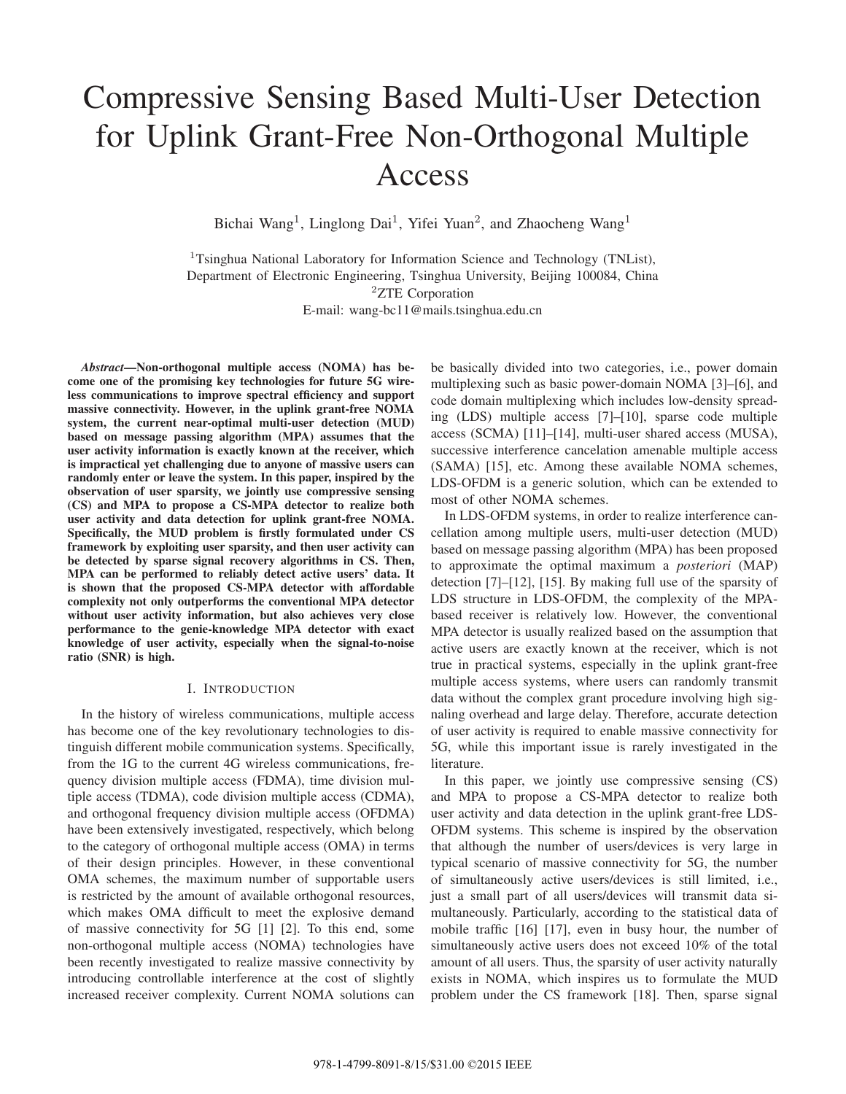# Compressive Sensing Based Multi-User Detection for Uplink Grant-Free Non-Orthogonal Multiple Access

Bichai Wang<sup>1</sup>, Linglong Dai<sup>1</sup>, Yifei Yuan<sup>2</sup>, and Zhaocheng Wang<sup>1</sup>

<sup>1</sup>Tsinghua National Laboratory for Information Science and Technology (TNList), Department of Electronic Engineering, Tsinghua University, Beijing 100084, China <sup>2</sup>ZTE Corporation E-mail: wang-bc11@mails.tsinghua.edu.cn

*Abstract***—Non-orthogonal multiple access (NOMA) has become one of the promising key technologies for future 5G wireless communications to improve spectral efficiency and support massive connectivity. However, in the uplink grant-free NOMA system, the current near-optimal multi-user detection (MUD) based on message passing algorithm (MPA) assumes that the user activity information is exactly known at the receiver, which is impractical yet challenging due to anyone of massive users can randomly enter or leave the system. In this paper, inspired by the observation of user sparsity, we jointly use compressive sensing (CS) and MPA to propose a CS-MPA detector to realize both user activity and data detection for uplink grant-free NOMA. Specifically, the MUD problem is firstly formulated under CS framework by exploiting user sparsity, and then user activity can be detected by sparse signal recovery algorithms in CS. Then, MPA can be performed to reliably detect active users' data. It is shown that the proposed CS-MPA detector with affordable complexity not only outperforms the conventional MPA detector without user activity information, but also achieves very close performance to the genie-knowledge MPA detector with exact knowledge of user activity, especially when the signal-to-noise ratio (SNR) is high.**

## I. INTRODUCTION

In the history of wireless communications, multiple access has become one of the key revolutionary technologies to distinguish different mobile communication systems. Specifically, from the 1G to the current 4G wireless communications, frequency division multiple access (FDMA), time division multiple access (TDMA), code division multiple access (CDMA), and orthogonal frequency division multiple access (OFDMA) have been extensively investigated, respectively, which belong to the category of orthogonal multiple access (OMA) in terms of their design principles. However, in these conventional OMA schemes, the maximum number of supportable users is restricted by the amount of available orthogonal resources, which makes OMA difficult to meet the explosive demand of massive connectivity for 5G [1] [2]. To this end, some non-orthogonal multiple access (NOMA) technologies have been recently investigated to realize massive connectivity by introducing controllable interference at the cost of slightly increased receiver complexity. Current NOMA solutions can

be basically divided into two categories, i.e., power domain multiplexing such as basic power-domain NOMA [3]–[6], and code domain multiplexing which includes low-density spreading (LDS) multiple access [7]–[10], sparse code multiple access (SCMA) [11]–[14], multi-user shared access (MUSA), successive interference cancelation amenable multiple access (SAMA) [15], etc. Among these available NOMA schemes, LDS-OFDM is a generic solution, which can be extended to most of other NOMA schemes.

In LDS-OFDM systems, in order to realize interference cancellation among multiple users, multi-user detection (MUD) based on message passing algorithm (MPA) has been proposed to approximate the optimal maximum a *posteriori* (MAP) detection [7]–[12], [15]. By making full use of the sparsity of LDS structure in LDS-OFDM, the complexity of the MPAbased receiver is relatively low. However, the conventional MPA detector is usually realized based on the assumption that active users are exactly known at the receiver, which is not true in practical systems, especially in the uplink grant-free multiple access systems, where users can randomly transmit data without the complex grant procedure involving high signaling overhead and large delay. Therefore, accurate detection of user activity is required to enable massive connectivity for 5G, while this important issue is rarely investigated in the literature.

In this paper, we jointly use compressive sensing (CS) and MPA to propose a CS-MPA detector to realize both user activity and data detection in the uplink grant-free LDS-OFDM systems. This scheme is inspired by the observation that although the number of users/devices is very large in typical scenario of massive connectivity for 5G, the number of simultaneously active users/devices is still limited, i.e., just a small part of all users/devices will transmit data simultaneously. Particularly, according to the statistical data of mobile traffic [16] [17], even in busy hour, the number of simultaneously active users does not exceed 10% of the total amount of all users. Thus, the sparsity of user activity naturally exists in NOMA, which inspires us to formulate the MUD problem under the CS framework [18]. Then, sparse signal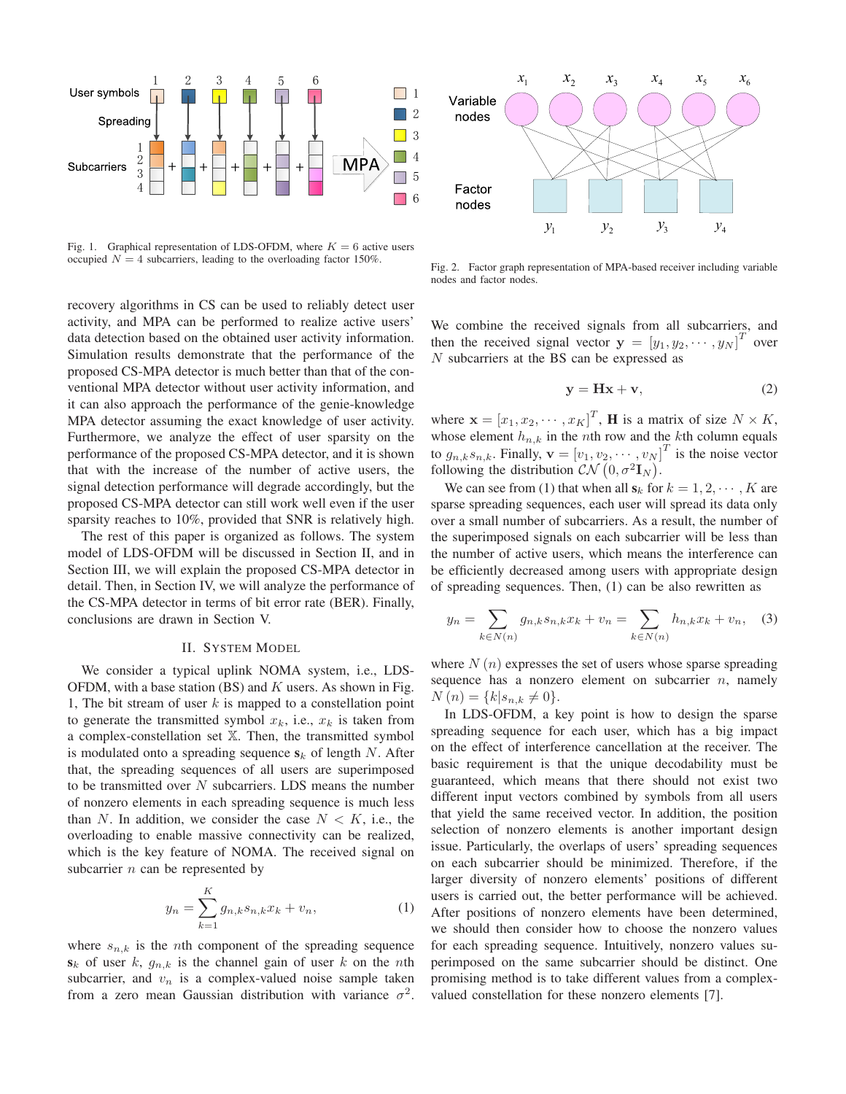

Fig. 1. Graphical representation of LDS-OFDM, where  $K = 6$  active users occupied  $N = 4$  subcarriers, leading to the overloading factor 150%.

recovery algorithms in CS can be used to reliably detect user activity, and MPA can be performed to realize active users' data detection based on the obtained user activity information. Simulation results demonstrate that the performance of the proposed CS-MPA detector is much better than that of the conventional MPA detector without user activity information, and it can also approach the performance of the genie-knowledge MPA detector assuming the exact knowledge of user activity. Furthermore, we analyze the effect of user sparsity on the performance of the proposed CS-MPA detector, and it is shown that with the increase of the number of active users, the signal detection performance will degrade accordingly, but the proposed CS-MPA detector can still work well even if the user sparsity reaches to 10%, provided that SNR is relatively high.

The rest of this paper is organized as follows. The system model of LDS-OFDM will be discussed in Section II, and in Section III, we will explain the proposed CS-MPA detector in detail. Then, in Section IV, we will analyze the performance of the CS-MPA detector in terms of bit error rate (BER). Finally, conclusions are drawn in Section V.

#### II. SYSTEM MODEL

We consider a typical uplink NOMA system, i.e., LDS-OFDM, with a base station  $(BS)$  and K users. As shown in Fig. 1, The bit stream of user  $k$  is mapped to a constellation point to generate the transmitted symbol  $x_k$ , i.e.,  $x_k$  is taken from a complex-constellation set X. Then, the transmitted symbol is modulated onto a spreading sequence  $s_k$  of length N. After that, the spreading sequences of all users are superimposed to be transmitted over  $N$  subcarriers. LDS means the number of nonzero elements in each spreading sequence is much less than N. In addition, we consider the case  $N < K$ , i.e., the overloading to enable massive connectivity can be realized, which is the key feature of NOMA. The received signal on subcarrier  $n$  can be represented by

$$
y_n = \sum_{k=1}^{K} g_{n,k} s_{n,k} x_k + v_n,
$$
 (1)

where  $s_{n,k}$  is the *n*th component of the spreading sequence  $s_k$  of user k,  $g_{n,k}$  is the channel gain of user k on the nth subcarrier, and  $v_n$  is a complex-valued noise sample taken from a zero mean Gaussian distribution with variance  $\sigma^2$ .



Fig. 2. Factor graph representation of MPA-based receiver including variable nodes and factor nodes.

We combine the received signals from all subcarriers, and then the received signal vector  $\mathbf{y} = [y_1, y_2, \cdots, y_N]^T$  over <br>
N subcarriers at the BS can be expressed as N subcarriers at the BS can be expressed as

$$
y = Hx + v,\t\t(2)
$$

where  $\mathbf{x} = [x_1, x_2, \cdots, x_K]^T$ , **H** is a matrix of size  $N \times K$ ,<br>whose element  $h$ , in the *n*th row and the *k*th column equals whose element  $h_{n,k}$  in the *n*th row and the *k*th column equals to  $g_{n,k}s_{n,k}$ . Finally,  $\mathbf{v} = [v_1, v_2, \cdots, v_N]^T$  is the noise vector following the distribution  $\mathcal{CN}(0, \sigma^2 \mathbf{I}_N)$ following the distribution  $\mathcal{CN} (0, \sigma^2 \mathbf{I}_N)$ .<br>We can see from (1) that when all s. for

We can see from (1) that when all  $s_k$  for  $k = 1, 2, \dots, K$  are sparse spreading sequences, each user will spread its data only over a small number of subcarriers. As a result, the number of the superimposed signals on each subcarrier will be less than the number of active users, which means the interference can be efficiently decreased among users with appropriate design of spreading sequences. Then, (1) can be also rewritten as

$$
y_n = \sum_{k \in N(n)} g_{n,k} s_{n,k} x_k + v_n = \sum_{k \in N(n)} h_{n,k} x_k + v_n, \quad (3)
$$

where  $N(n)$  expresses the set of users whose sparse spreading sequence has a nonzero element on subcarrier  $n$ , namely  $N(n) = \{k | s_{n,k} \neq 0\}.$ 

In LDS-OFDM, a key point is how to design the sparse spreading sequence for each user, which has a big impact on the effect of interference cancellation at the receiver. The basic requirement is that the unique decodability must be guaranteed, which means that there should not exist two different input vectors combined by symbols from all users that yield the same received vector. In addition, the position selection of nonzero elements is another important design issue. Particularly, the overlaps of users' spreading sequences on each subcarrier should be minimized. Therefore, if the larger diversity of nonzero elements' positions of different users is carried out, the better performance will be achieved. After positions of nonzero elements have been determined, we should then consider how to choose the nonzero values for each spreading sequence. Intuitively, nonzero values superimposed on the same subcarrier should be distinct. One promising method is to take different values from a complexvalued constellation for these nonzero elements [7].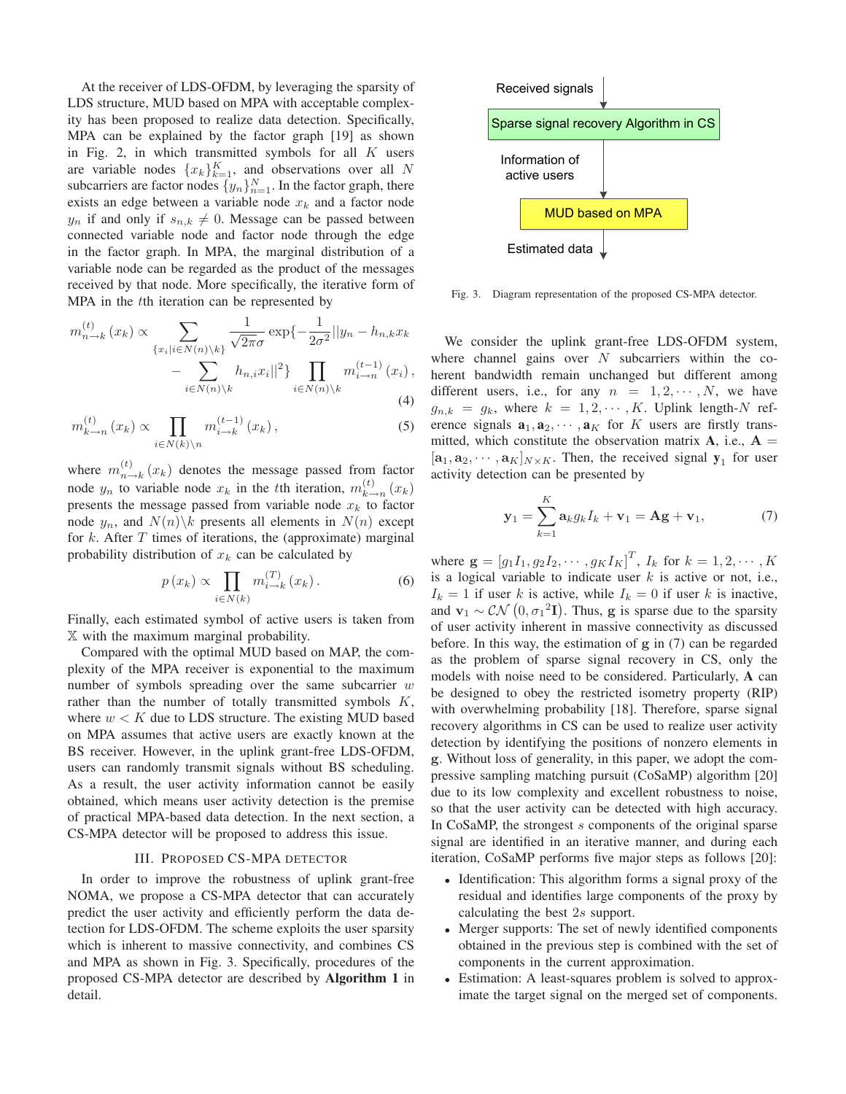At the receiver of LDS-OFDM, by leveraging the sparsity of LDS structure, MUD based on MPA with acceptable complexity has been proposed to realize data detection. Specifically, MPA can be explained by the factor graph [19] as shown in Fig. 2, in which transmitted symbols for all  $K$  users are variable nodes  $\{x_k\}_{k=1}^K$ , and observations over all N subcarriers are factor nodes  $\{y_n\}_{n=1}^N$ . In the factor graph, there exists an edge between a variable node  $x_k$  and a factor node  $y_n$  if and only if  $s_{n,k} \neq 0$ . Message can be passed between connected variable node and factor node through the edge in the factor graph. In MPA, the marginal distribution of a variable node can be regarded as the product of the messages received by that node. More specifically, the iterative form of MPA in the tth iteration can be represented by

$$
m_{n\to k}^{(t)}(x_k) \propto \sum_{\{x_i|i\in N(n)\backslash k\}} \frac{1}{\sqrt{2\pi}\sigma} \exp\left\{-\frac{1}{2\sigma^2}||y_n - h_{n,k}x_k\right\}
$$

$$
-\sum_{i\in N(n)\backslash k} h_{n,i}x_i||^2\} \prod_{i\in N(n)\backslash k} m_{i\to n}^{(t-1)}(x_i),
$$
(4)

$$
m_{k\to n}^{(t)}\left(x_k\right) \propto \prod_{i \in N(k)\backslash n} m_{i\to k}^{(t-1)}\left(x_k\right),\tag{5}
$$

where  $m_{n\to k}^{(t)}(x_k)$  denotes the message passed from factor node  $y_n$  to variable node  $x_k$  in the tth iteration,  $m_{k\rightarrow n}^{(t)}(x_k)$ presents the message passed from variable node  $x_k$  to factor node  $y_n$ , and  $N(n)\$ k presents all elements in  $N(n)$  except for  $k$ . After  $T$  times of iterations, the (approximate) marginal probability distribution of  $x_k$  can be calculated by

$$
p(x_k) \propto \prod_{i \in N(k)} m_{i \to k}^{(T)}(x_k).
$$
 (6)

Finally, each estimated symbol of active users is taken from X with the maximum marginal probability.

Compared with the optimal MUD based on MAP, the complexity of the MPA receiver is exponential to the maximum number of symbols spreading over the same subcarrier  $w$ rather than the number of totally transmitted symbols  $K$ , where  $w < K$  due to LDS structure. The existing MUD based on MPA assumes that active users are exactly known at the BS receiver. However, in the uplink grant-free LDS-OFDM, users can randomly transmit signals without BS scheduling. As a result, the user activity information cannot be easily obtained, which means user activity detection is the premise of practical MPA-based data detection. In the next section, a CS-MPA detector will be proposed to address this issue.

# III. PROPOSED CS-MPA DETECTOR

In order to improve the robustness of uplink grant-free NOMA, we propose a CS-MPA detector that can accurately predict the user activity and efficiently perform the data detection for LDS-OFDM. The scheme exploits the user sparsity which is inherent to massive connectivity, and combines CS and MPA as shown in Fig. 3. Specifically, procedures of the proposed CS-MPA detector are described by **Algorithm 1** in detail.



Fig. 3. Diagram representation of the proposed CS-MPA detector.

We consider the uplink grant-free LDS-OFDM system, where channel gains over  $N$  subcarriers within the coherent bandwidth remain unchanged but different among different users, i.e., for any  $n = 1, 2, \cdots, N$ , we have  $g_{n,k} = g_k$ , where  $k = 1, 2, \cdots, K$ . Uplink length-N reference signals  $\mathbf{a}_1, \mathbf{a}_2, \cdots, \mathbf{a}_K$  for K users are firstly transmitted, which constitute the observation matrix  $A$ , i.e.,  $A =$  $[a_1, a_2, \dots, a_K]_{N \times K}$ . Then, the received signal  $y_1$  for user activity detection can be presented by

$$
\mathbf{y}_1 = \sum_{k=1}^K \mathbf{a}_k g_k I_k + \mathbf{v}_1 = \mathbf{A}\mathbf{g} + \mathbf{v}_1, \tag{7}
$$

where  $\mathbf{g} = [g_1I_1, g_2I_2, \cdots, g_KI_K]^T$ ,  $I_k$  for  $k = 1, 2, \cdots, K$ <br>is a logical variable to indicate user k is active or not i.e. is a logical variable to indicate user  $k$  is active or not, i.e.,  $I_k = 1$  if user k is active, while  $I_k = 0$  if user k is inactive, and **v**<sub>1</sub> ~  $\mathcal{CN}$  (0,  $\sigma_1^2$ **I**). Thus, **g** is sparse due to the sparsity of user activity inherent in massive connectivity as discussed of user activity inherent in massive connectivity as discussed before. In this way, the estimation of **g** in (7) can be regarded as the problem of sparse signal recovery in CS, only the models with noise need to be considered. Particularly, **A** can be designed to obey the restricted isometry property (RIP) with overwhelming probability [18]. Therefore, sparse signal recovery algorithms in CS can be used to realize user activity detection by identifying the positions of nonzero elements in **g**. Without loss of generality, in this paper, we adopt the compressive sampling matching pursuit (CoSaMP) algorithm [20] due to its low complexity and excellent robustness to noise, so that the user activity can be detected with high accuracy. In CoSaMP, the strongest s components of the original sparse signal are identified in an iterative manner, and during each iteration, CoSaMP performs five major steps as follows [20]:

- Identification: This algorithm forms a signal proxy of the residual and identifies large components of the proxy by calculating the best 2s support.
- Merger supports: The set of newly identified components obtained in the previous step is combined with the set of components in the current approximation.
- Estimation: A least-squares problem is solved to approximate the target signal on the merged set of components.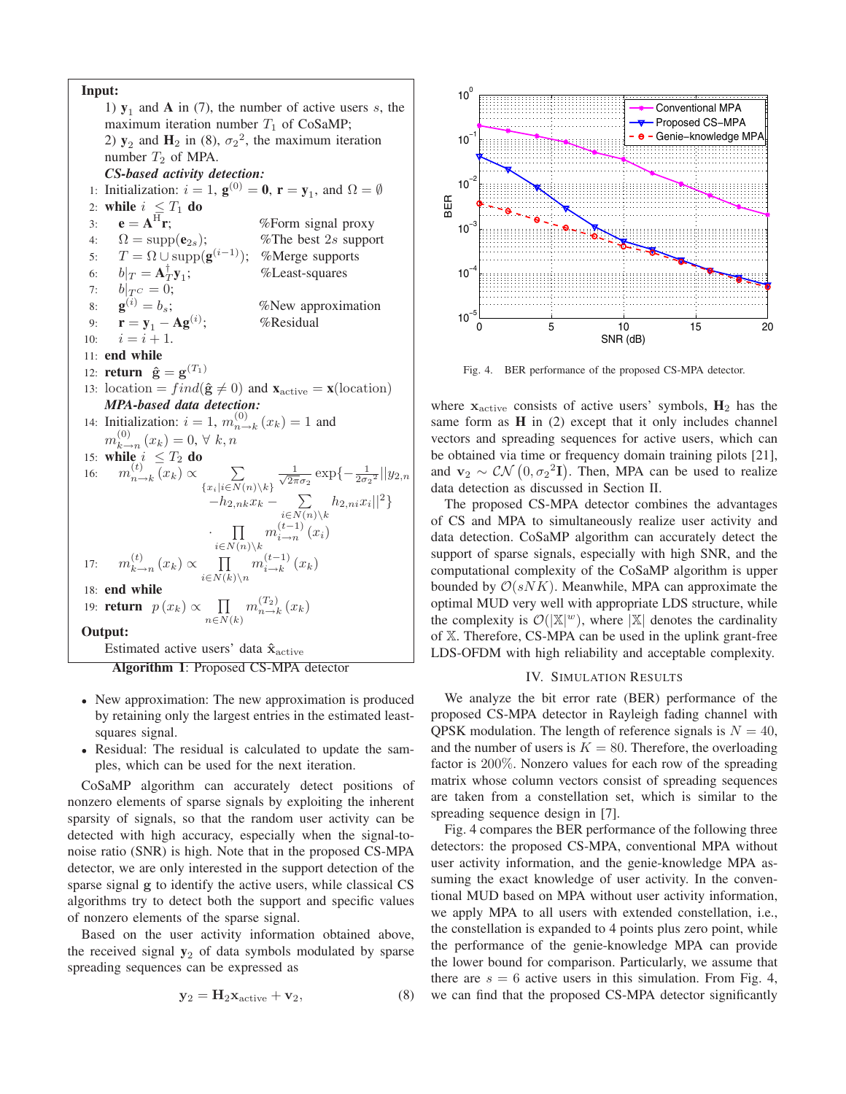**Input:** 1)  $\mathbf{y}_1$  and **A** in (7), the number of active users s, the maximum iteration number  $T_1$  of CoSaMP; 2)  $y_2$  and  $H_2$  in (8),  $\sigma_2^2$ , the maximum iteration number  $T_2$  of MPA. *CS-based activity detection:* 1: Initialization:  $i = 1$ ,  $\mathbf{g}^{(0)} = \mathbf{0}$ ,  $\mathbf{r} = \mathbf{y}_1$ , and  $\Omega = \emptyset$ 2: **while**  $i \leq T_1$  **do**<br>3: **e** =  $A^H$ **r**; 3: **e** =  $A^H r$ ; *%* Form signal proxy 4:  $\Omega = \text{supp}(\mathbf{e}_{2s});$  %The best 2s support 5:  $T = \Omega \cup \text{supp}(\mathbf{g}^{(i-1)})$ ; %Merge supports 6:  $b|_T = A_T^{\dagger} y_1;$ %Least-squares 7:  $b|_{T^C} = 0;$ <br>8:  $\mathbf{g}^{(i)} = b_s;$ 8:  $\mathbf{g}^{(i)} = b_s$ ; %New approximation 9: **r** = **y**<sub>1</sub> - **Ag**<sup>(*i*</sup>);<br>10: *i* = *i* + 1. %Residual  $i = i + 1.$ 11: **end while** 12: **return**  $\hat{\mathbf{g}} = \mathbf{g}^{(T_1)}$ 13: location =  $find(\hat{\mathbf{g}} \neq 0)$  and  $\mathbf{x}_{active} = \mathbf{x}(\text{location})$ <br>**MPA-hased data detection:** *MPA-based data detection:* 14: Initialization:  $i = 1, m_{n \to k}^{(0)} (x_k) = 1$  and  $m_{k \to n}^{(0)} (x_k) = 0, \forall k, n$  $_{k\to n}^{(0)}(x_k)=0, \forall k, n$ 15: **while**  $i \leq T_2$  **do** 16:  $m_{n \to k}^{(t)}(x_k) \propto \sum_{\{x_i | i \in N(n) \setminus k\}}$  $\frac{1}{\sqrt{2}}$  $\frac{1}{2\pi\sigma_2} \exp\{-\frac{1}{2\sigma_2^2}||y_{2,n}\}$  $-h_{2,nk}x_k - \sum_{i \in N(n) \setminus k} h_{2,ni}x_i||^2$ ·  $i \in N(n) \backslash k$  $m_{i\rightarrow n}^{(t-1)}(x_i)$ 17:  $m_{k\to n}^{(t)}(x_k) \propto \prod_{i\in N(k)\setminus n}$  $m_{i\rightarrow k}^{(t-1)}(x_k)$ 18: **end while** 19: **return**  $p(x_k) \propto \prod_{n \in N(k)}$  $m_{n\rightarrow k}^{(T_2)}(x_k)$ **Output:** Estimated active users' data **xˆ**active **Algorithm 1**: Proposed CS-MPA detector

- New approximation: The new approximation is produced by retaining only the largest entries in the estimated leastsquares signal.
- Residual: The residual is calculated to update the samples, which can be used for the next iteration.

CoSaMP algorithm can accurately detect positions of nonzero elements of sparse signals by exploiting the inherent sparsity of signals, so that the random user activity can be detected with high accuracy, especially when the signal-tonoise ratio (SNR) is high. Note that in the proposed CS-MPA detector, we are only interested in the support detection of the sparse signal **g** to identify the active users, while classical CS algorithms try to detect both the support and specific values of nonzero elements of the sparse signal.

Based on the user activity information obtained above, the received signal  $y_2$  of data symbols modulated by sparse spreading sequences can be expressed as

$$
y_2 = H_2 x_{\text{active}} + v_2, \tag{8}
$$



Fig. 4. BER performance of the proposed CS-MPA detector.

where **<sup>x</sup>**active consists of active users' symbols, **<sup>H</sup>**<sup>2</sup> has the same form as **H** in (2) except that it only includes channel vectors and spreading sequences for active users, which can be obtained via time or frequency domain training pilots [21], and **v**<sub>2</sub> ∼  $CN$  (0,  $\sigma_2^2$ **T**). Then, MPA can be used to realize data detection as discussed in Section II data detection as discussed in Section II.

The proposed CS-MPA detector combines the advantages of CS and MPA to simultaneously realize user activity and data detection. CoSaMP algorithm can accurately detect the support of sparse signals, especially with high SNR, and the computational complexity of the CoSaMP algorithm is upper bounded by  $\mathcal{O}(s N K)$ . Meanwhile, MPA can approximate the optimal MUD very well with appropriate LDS structure, while the complexity is  $\mathcal{O}(|\mathbb{X}|^w)$ , where  $|\mathbb{X}|$  denotes the cardinality of X. Therefore, CS-MPA can be used in the uplink grant-free LDS-OFDM with high reliability and acceptable complexity.

#### IV. SIMULATION RESULTS

We analyze the bit error rate (BER) performance of the proposed CS-MPA detector in Rayleigh fading channel with QPSK modulation. The length of reference signals is  $N = 40$ , and the number of users is  $K = 80$ . Therefore, the overloading factor is 200%. Nonzero values for each row of the spreading matrix whose column vectors consist of spreading sequences are taken from a constellation set, which is similar to the spreading sequence design in [7].

Fig. 4 compares the BER performance of the following three detectors: the proposed CS-MPA, conventional MPA without user activity information, and the genie-knowledge MPA assuming the exact knowledge of user activity. In the conventional MUD based on MPA without user activity information, we apply MPA to all users with extended constellation, i.e., the constellation is expanded to 4 points plus zero point, while the performance of the genie-knowledge MPA can provide the lower bound for comparison. Particularly, we assume that there are  $s = 6$  active users in this simulation. From Fig. 4, we can find that the proposed CS-MPA detector significantly